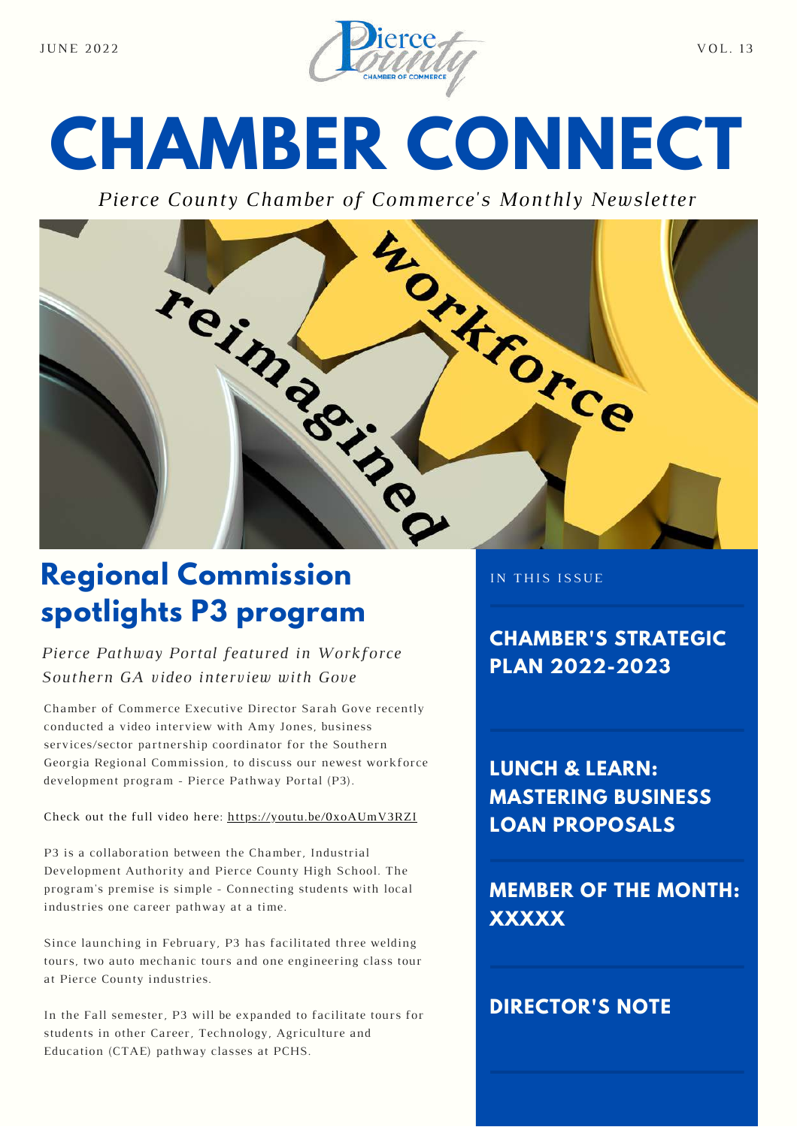

# **CHAMBER CONNECT**

*Pierce County Chamber of Commerce's Monthly Newsletter*



## **Regional Commission spotlights P3 program**

#### *Pierce Pathway Portal featured in Workforce Southern GA video interview with Gove*

Chamber of Commerce Executive Director Sarah Gove recently conducted a video interview with Amy Jones, business services/sector partnership coordinator for the Southern Georgia Regional Commission, to discuss our newest workforce development program - Pierce Pathway Portal (P3).

#### Check out the full video here: <https://youtu.be/0xoAUmV3RZI>

P3 is a collaboration between the Chamber, Industrial Development Authority and Pierce County High School. The program's premise is simple - Connecting students with local industries one career pathway at a time.

Since launching in February, P3 has facilitated three welding tours, two auto mechanic tours and one engineering class tour at Pierce County industries.

In the Fall semester, P3 will be expanded to facilitate tours for students in other Career, Technology, Agriculture and Education (CTAE) pathway classes at PCHS.

IN THIS ISSUE

**CHAMBER'S STRATEGIC PLAN 2022-2023**

**LUNCH & LEARN: MASTERING BUSINESS LOAN PROPOSALS**

**MEMBER OF THE MONTH: XXXXX**

#### **DIRECTOR'S NOTE**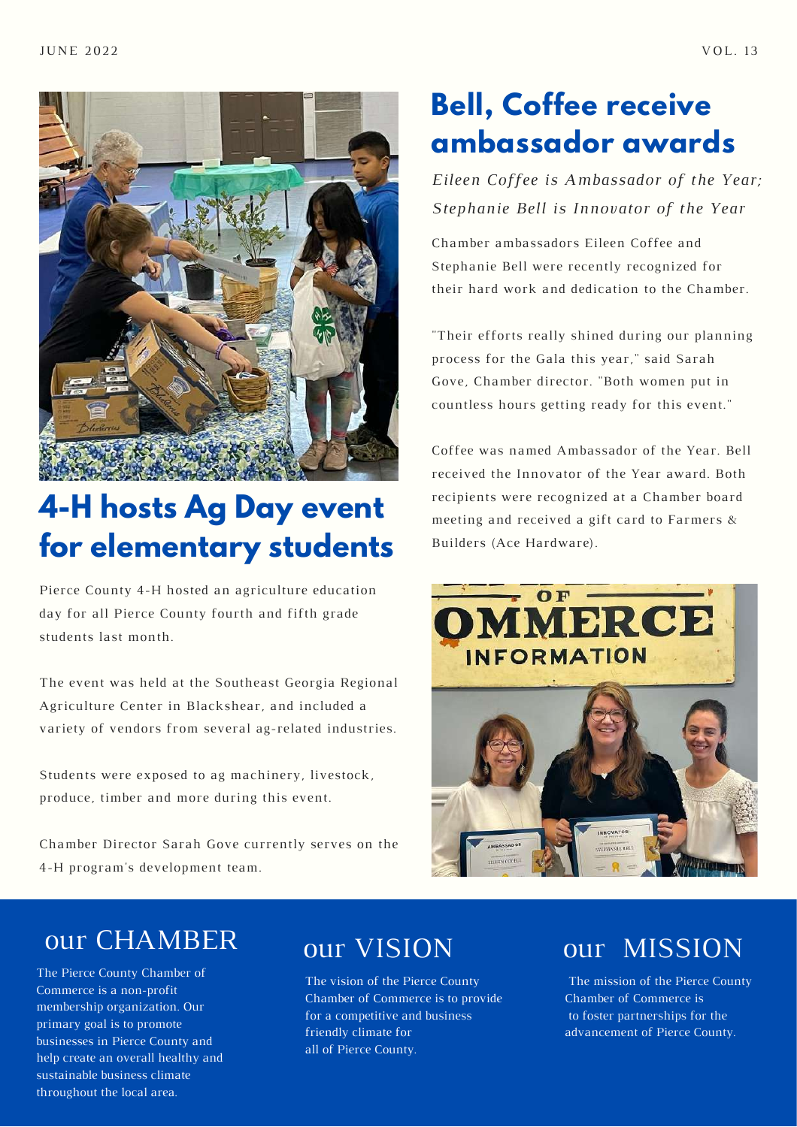



## **4-H hosts Ag Day event for elementary students**

Pierce County 4-H hosted an agriculture education day for all Pierce County fourth and fifth grade students last month.

The event was held at the Southeast Georgia Regional Agriculture Center in Blackshear, and included a variety of vendors from several ag-related industries.

Students were exposed to ag machinery, livestock, produce, timber and more during this event.

Chamber Director Sarah Gove currently serves on the 4-H program's development team.

## **Bell, Coffee receive ambassador awards**

*Eileen Coffee is Ambassador of the Year; Stephanie Bell is Innovator of the Year*

Chamber ambassadors Eileen Coffee and Stephanie Bell were recently recognized for their hard work and dedication to the Chamber.

"Their efforts really shined during our planning process for the Gala this year," said Sarah Gove, Chamber director. "Both women put in countless hours getting ready for this event."

Coffee was named Ambassador of the Year. Bell received the Innovator of the Year award. Both recipients were recognized at a Chamber board meeting and received a gift card to Farmers & Builders (Ace Hardware).



## our CHAMBER

The Pierce County Chamber of Commerce is a non-profit membership organization. Our primary goal is to promote businesses in Pierce County and help create an overall healthy and sustainable business climate throughout the local area.

## our VISION

The vision of the Pierce County Chamber of Commerce is to provide for a competitive and business friendly climate for all of Pierce County.

## our MISSION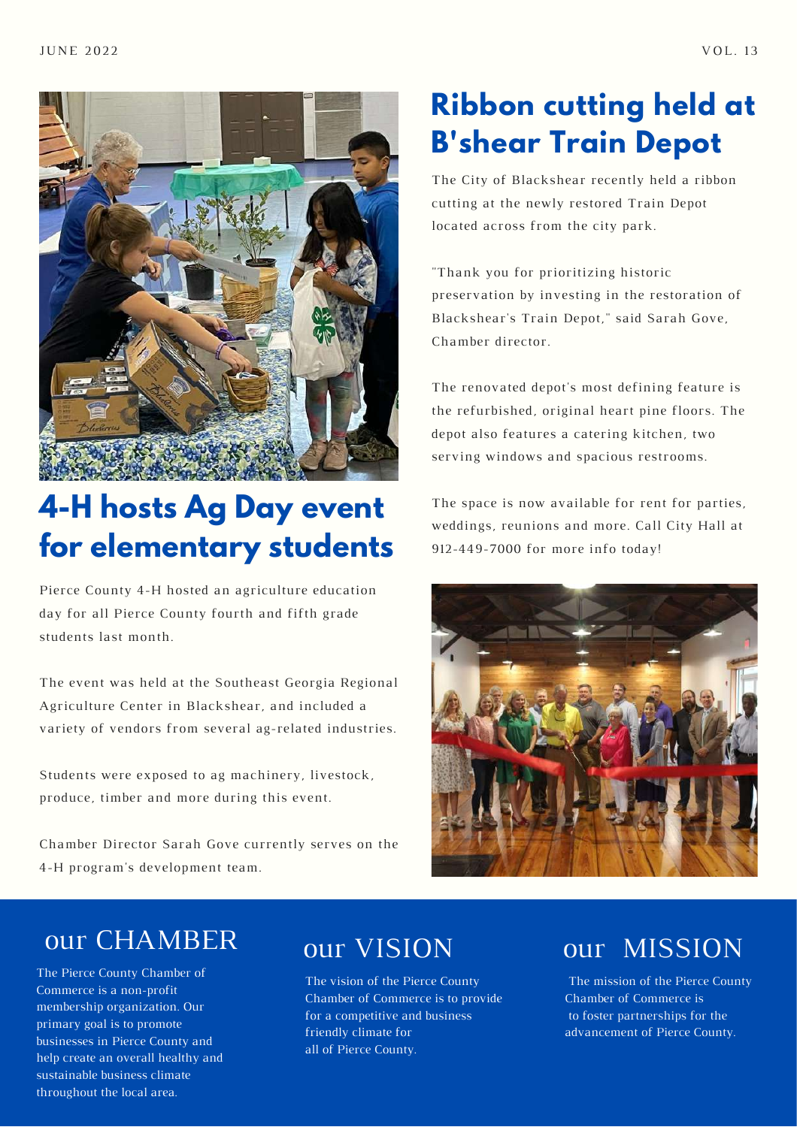



## **4-H hosts Ag Day event for elementary students**

Pierce County 4-H hosted an agriculture education day for all Pierce County fourth and fifth grade students last month.

The event was held at the Southeast Georgia Regional Agriculture Center in Blackshear, and included a variety of vendors from several ag-related industries.

Students were exposed to ag machinery, livestock, produce, timber and more during this event.

Chamber Director Sarah Gove currently serves on the 4-H program's development team.

## **Ribbon cutting held at B'shear Train Depot**

The City of Blackshear recently held a ribbon cutting at the newly restored Train Depot located across from the city park.

"Thank you for prioritizing historic preservation by investing in the restoration of Blackshear's Train Depot," said Sarah Gove, Chamber director.

The renovated depot's most defining feature is the refurbished, original heart pine floors. The depot also features a catering kitchen, two serving windows and spacious restrooms.

The space is now available for rent for parties, weddings, reunions and more. Call City Hall at 912-449-7000 for more info today!



## our CHAMBER

The Pierce County Chamber of Commerce is a non-profit membership organization. Our primary goal is to promote businesses in Pierce County and help create an overall healthy and sustainable business climate throughout the local area.

## our VISION

The vision of the Pierce County Chamber of Commerce is to provide for a competitive and business friendly climate for all of Pierce County.

## our MISSION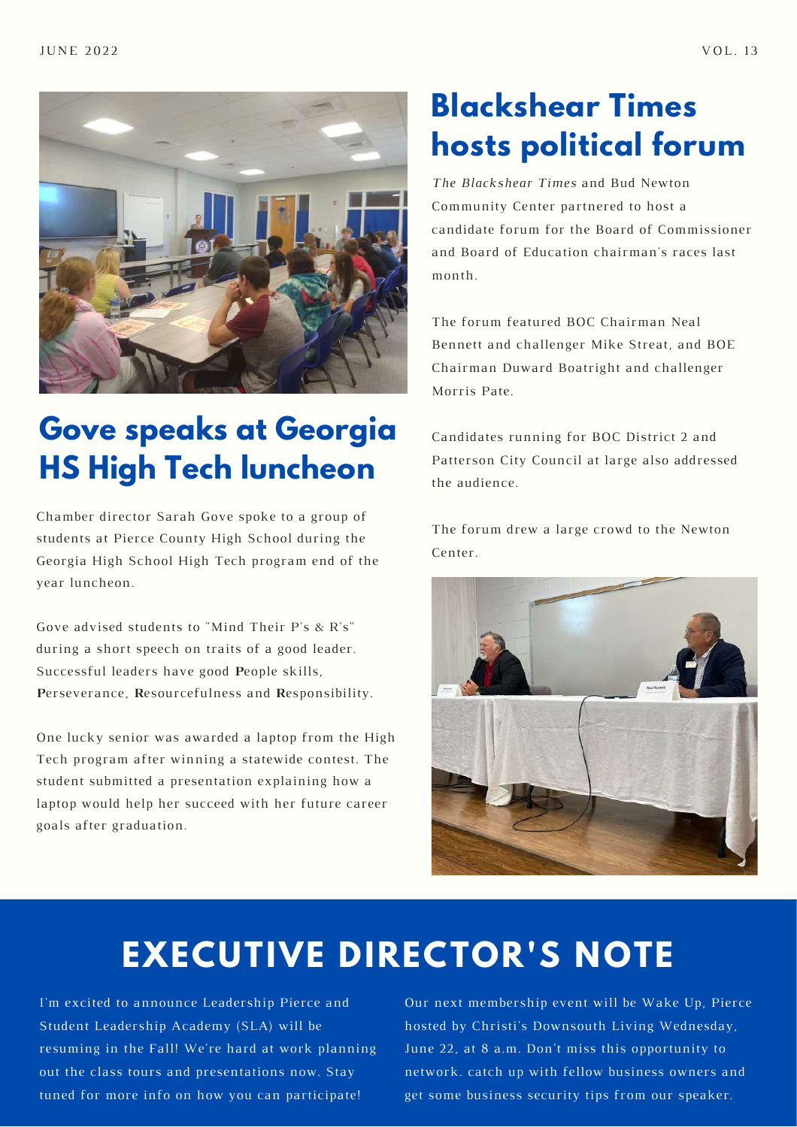

## **Gove speaks at Georgia HS High Tech luncheon**

Chamber director Sarah Gove spoke to a group of students at Pierce County High School during the Georgia High School High Tech program end of the year luncheon.

Gove advised students to "Mind Their P's & R's" during a short speech on traits of a good leader. Successful leaders have good **P**eople skills, **P**erseverance, **R**esourcefulness and **R**esponsibility.

One lucky senior was awarded a laptop from the High Tech program after winning a statewide contest. The student submitted a presentation explaining how a laptop would help her succeed with her future career goals after graduation.

# **Blackshear Times hosts political forum**

*The Blackshear Times* and Bud Newton Community Center partnered to host a candidate forum for the Board of Commissioner and Board of Education chairman's races last month.

The forum featured BOC Chairman Neal Bennett and challenger Mike Streat, and BOE Chairman Duward Boatright and challenger Morris Pate.

Candidates running for BOC District 2 and Patterson City Council at large also addressed the audience.

The forum drew a large crowd to the Newton Center.



# **EXECUTIVE DIRECTOR'S NOTE**

I'm excited to announce Leadership Pierce and Student Leadership Academy (SLA) will be resuming in the Fall! We're hard at work planning out the class tours and presentations now. Stay tuned for more info on how you can participate!

Our next membership event will be Wake Up, Pierce hosted by Christi's Downsouth Living Wednesday, June 22, at 8 a.m. Don't miss this opportunity to network. catch up with fellow business owners and get some business security tips from our speaker.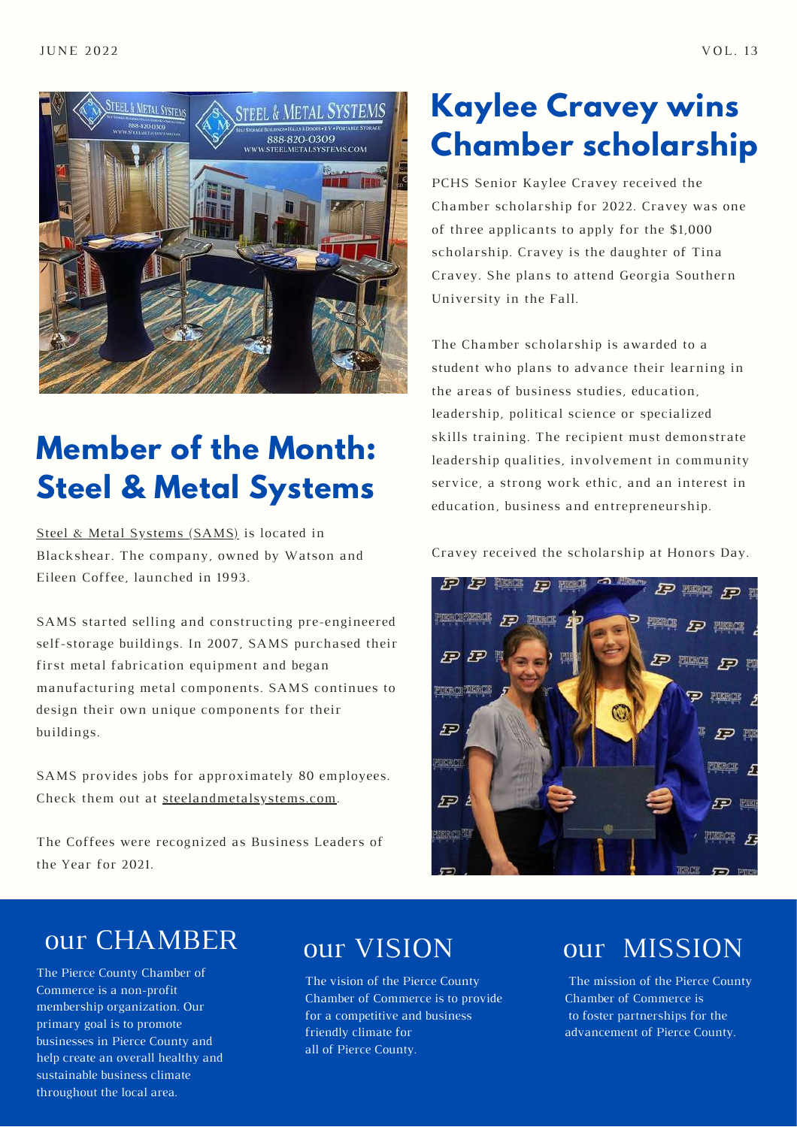

## **Member of the Month: Steel & Metal Systems**

Steel & Metal [Systems](https://www.facebook.com/Steel-and-Metal-Systems-Inc-108400680792867) (SAMS) is located in Blackshear. The company, owned by Watson and Eileen Coffee, launched in 1993.

SAMS started selling and constructing pre-engineered self-storage buildings. In 2007, SAMS purchased their first metal fabrication equipment and began manufacturing metal components. SAMS continues to design their own unique components for their buildings.

SAMS provides jobs for approximately 80 employees. Check them out at [steelandmetalsystems.com](http://steelandmetalsystems.com/).

The Coffees were recognized as Business Leaders of the Year for 2021.

## **Kaylee Cravey wins Chamber scholarship**

PCHS Senior Kaylee Cravey received the Chamber scholarship for 2022. Cravey was one of three applicants to apply for the \$1,000 scholarship. Cravey is the daughter of Tina Cravey. She plans to attend Georgia Southern University in the Fall.

The Chamber scholarship is awarded to a student who plans to advance their learning in the areas of business studies, education, leadership, political science or specialized skills training. The recipient must demonstrate leadership qualities, involvement in community service, a strong work ethic, and an interest in education, business and entrepreneurship.

Cravey received the scholarship at Honors Day.



## our CHAMBER

The Pierce County Chamber of Commerce is a non-profit membership organization. Our primary goal is to promote businesses in Pierce County and help create an overall healthy and sustainable business climate throughout the local area.

## our VISION

The vision of the Pierce County Chamber of Commerce is to provide for a competitive and business friendly climate for all of Pierce County.

## our MISSION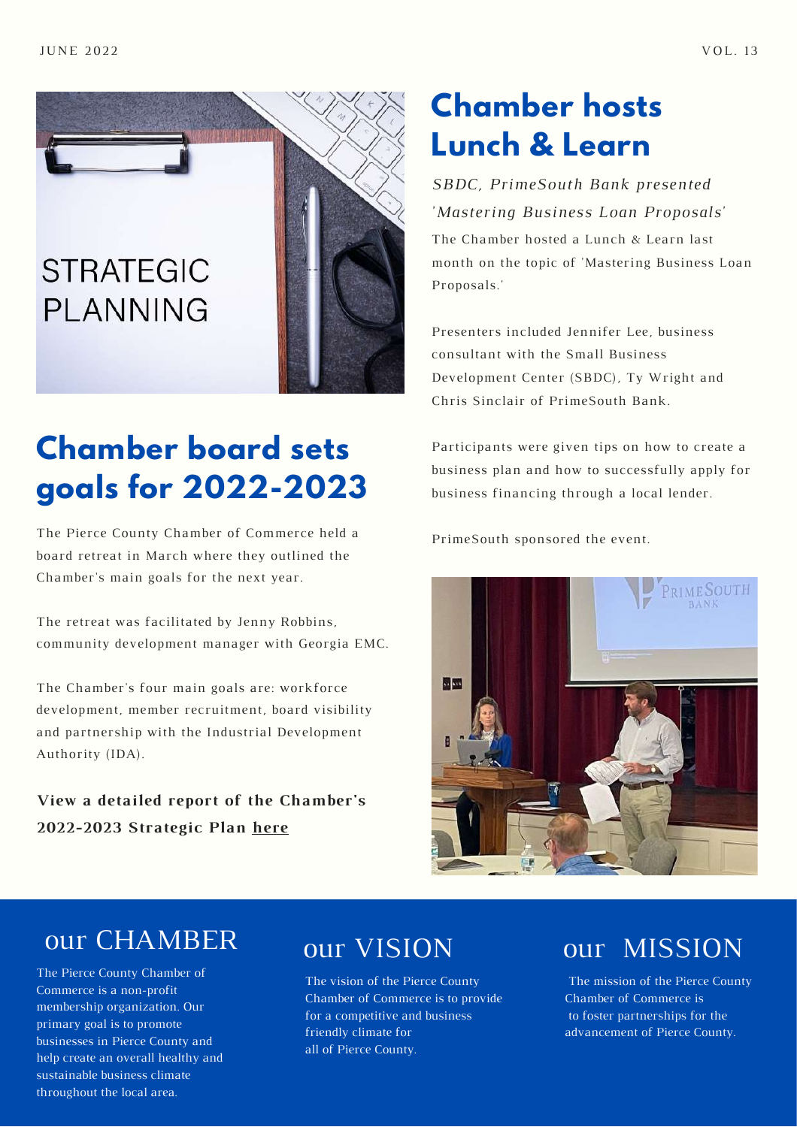

# **Chamber board sets goals for 2022-2023**

The Pierce County Chamber of Commerce held a board retreat in March where they outlined the Chamber's main goals for the next year.

The retreat was facilitated by Jenny Robbins, community development manager with Georgia EMC.

The Chamber's four main goals are: workforce development, member recruitment, board visibility and partnership with the Industrial Development Authority (IDA).

**View a detailed report of the Chamber's 2022-2023 Strategic Plan [here](https://drive.google.com/file/d/1FhUU2P_EYPjmCDcqmYk7nQW-cRX0pjPG/view?usp=sharing)**

## **Chamber hosts Lunch & Learn**

The Chamber hosted a Lunch & Learn last month on the topic of 'Mastering Business Loan Proposals.' *SBDC, PrimeSouth Bank presented 'Mastering Business Loan Proposals'*

Presenters included Jennifer Lee, business consultant with the Small Business Development Center (SBDC), Ty Wright and Chris Sinclair of PrimeSouth Bank.

Participants were given tips on how to create a business plan and how to successfully apply for business financing through a local lender.

PrimeSouth sponsored the event.



#### our CHAMBER

The Pierce County Chamber of Commerce is a non-profit membership organization. Our primary goal is to promote businesses in Pierce County and help create an overall healthy and sustainable business climate throughout the local area.

#### our VISION

The vision of the Pierce County Chamber of Commerce is to provide for a competitive and business friendly climate for all of Pierce County.

#### our MISSION